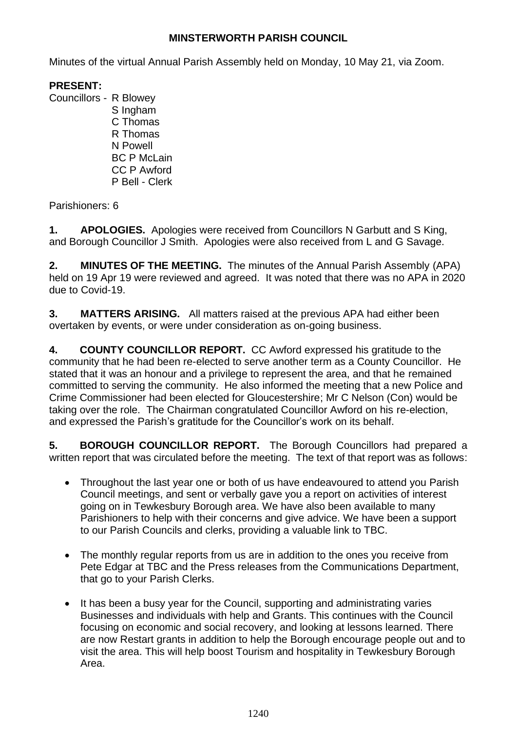## **MINSTERWORTH PARISH COUNCIL**

Minutes of the virtual Annual Parish Assembly held on Monday, 10 May 21, via Zoom.

## **PRESENT:**

- Councillors R Blowey S Ingham C Thomas R Thomas N Powell BC P McLain CC P Awford
	- P Bell Clerk

Parishioners: 6

**1. APOLOGIES.** Apologies were received from Councillors N Garbutt and S King, and Borough Councillor J Smith. Apologies were also received from L and G Savage.

**2. MINUTES OF THE MEETING.** The minutes of the Annual Parish Assembly (APA) held on 19 Apr 19 were reviewed and agreed. It was noted that there was no APA in 2020 due to Covid-19.

**3. MATTERS ARISING.** All matters raised at the previous APA had either been overtaken by events, or were under consideration as on-going business.

**4. COUNTY COUNCILLOR REPORT.** CC Awford expressed his gratitude to the community that he had been re-elected to serve another term as a County Councillor. He stated that it was an honour and a privilege to represent the area, and that he remained committed to serving the community. He also informed the meeting that a new Police and Crime Commissioner had been elected for Gloucestershire; Mr C Nelson (Con) would be taking over the role. The Chairman congratulated Councillor Awford on his re-election, and expressed the Parish's gratitude for the Councillor's work on its behalf.

**5. BOROUGH COUNCILLOR REPORT.** The Borough Councillors had prepared a written report that was circulated before the meeting. The text of that report was as follows:

- Throughout the last year one or both of us have endeavoured to attend you Parish Council meetings, and sent or verbally gave you a report on activities of interest going on in Tewkesbury Borough area. We have also been available to many Parishioners to help with their concerns and give advice. We have been a support to our Parish Councils and clerks, providing a valuable link to TBC.
- The monthly regular reports from us are in addition to the ones you receive from Pete Edgar at TBC and the Press releases from the Communications Department, that go to your Parish Clerks.
- It has been a busy year for the Council, supporting and administrating varies Businesses and individuals with help and Grants. This continues with the Council focusing on economic and social recovery, and looking at lessons learned. There are now Restart grants in addition to help the Borough encourage people out and to visit the area. This will help boost Tourism and hospitality in Tewkesbury Borough Area.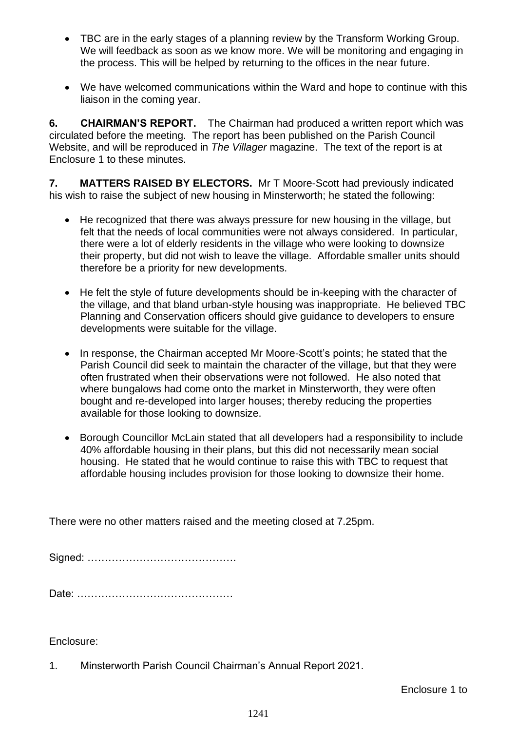- TBC are in the early stages of a planning review by the Transform Working Group. We will feedback as soon as we know more. We will be monitoring and engaging in the process. This will be helped by returning to the offices in the near future.
- We have welcomed communications within the Ward and hope to continue with this liaison in the coming year.

**6. CHAIRMAN'S REPORT.** The Chairman had produced a written report which was circulated before the meeting. The report has been published on the Parish Council Website, and will be reproduced in *The Villager* magazine. The text of the report is at Enclosure 1 to these minutes.

**7. MATTERS RAISED BY ELECTORS.** Mr T Moore-Scott had previously indicated his wish to raise the subject of new housing in Minsterworth; he stated the following:

- He recognized that there was always pressure for new housing in the village, but felt that the needs of local communities were not always considered. In particular, there were a lot of elderly residents in the village who were looking to downsize their property, but did not wish to leave the village. Affordable smaller units should therefore be a priority for new developments.
- He felt the style of future developments should be in-keeping with the character of the village, and that bland urban-style housing was inappropriate. He believed TBC Planning and Conservation officers should give guidance to developers to ensure developments were suitable for the village.
- In response, the Chairman accepted Mr Moore-Scott's points; he stated that the Parish Council did seek to maintain the character of the village, but that they were often frustrated when their observations were not followed. He also noted that where bungalows had come onto the market in Minsterworth, they were often bought and re-developed into larger houses; thereby reducing the properties available for those looking to downsize.
- Borough Councillor McLain stated that all developers had a responsibility to include 40% affordable housing in their plans, but this did not necessarily mean social housing. He stated that he would continue to raise this with TBC to request that affordable housing includes provision for those looking to downsize their home.

There were no other matters raised and the meeting closed at 7.25pm.

Signed: …………………………………….

Date: ………………………………………

Enclosure:

1. Minsterworth Parish Council Chairman's Annual Report 2021.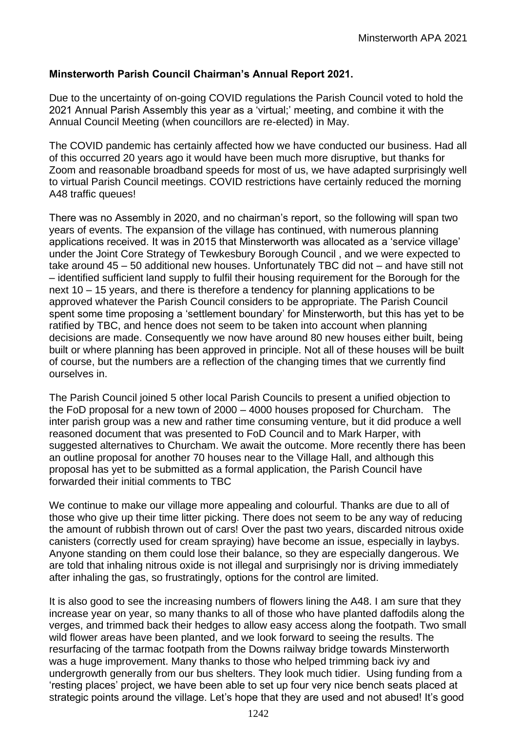## **Minsterworth Parish Council Chairman's Annual Report 2021.**

Due to the uncertainty of on-going COVID regulations the Parish Council voted to hold the 2021 Annual Parish Assembly this year as a 'virtual;' meeting, and combine it with the Annual Council Meeting (when councillors are re-elected) in May.

The COVID pandemic has certainly affected how we have conducted our business. Had all of this occurred 20 years ago it would have been much more disruptive, but thanks for Zoom and reasonable broadband speeds for most of us, we have adapted surprisingly well to virtual Parish Council meetings. COVID restrictions have certainly reduced the morning A48 traffic queues!

There was no Assembly in 2020, and no chairman's report, so the following will span two years of events. The expansion of the village has continued, with numerous planning applications received. It was in 2015 that Minsterworth was allocated as a 'service village' under the Joint Core Strategy of Tewkesbury Borough Council , and we were expected to take around 45 – 50 additional new houses. Unfortunately TBC did not – and have still not – identified sufficient land supply to fulfil their housing requirement for the Borough for the next 10 – 15 years, and there is therefore a tendency for planning applications to be approved whatever the Parish Council considers to be appropriate. The Parish Council spent some time proposing a 'settlement boundary' for Minsterworth, but this has yet to be ratified by TBC, and hence does not seem to be taken into account when planning decisions are made. Consequently we now have around 80 new houses either built, being built or where planning has been approved in principle. Not all of these houses will be built of course, but the numbers are a reflection of the changing times that we currently find ourselves in.

The Parish Council joined 5 other local Parish Councils to present a unified objection to the FoD proposal for a new town of 2000 – 4000 houses proposed for Churcham. The inter parish group was a new and rather time consuming venture, but it did produce a well reasoned document that was presented to FoD Council and to Mark Harper, with suggested alternatives to Churcham. We await the outcome. More recently there has been an outline proposal for another 70 houses near to the Village Hall, and although this proposal has yet to be submitted as a formal application, the Parish Council have forwarded their initial comments to TBC

We continue to make our village more appealing and colourful. Thanks are due to all of those who give up their time litter picking. There does not seem to be any way of reducing the amount of rubbish thrown out of cars! Over the past two years, discarded nitrous oxide canisters (correctly used for cream spraying) have become an issue, especially in laybys. Anyone standing on them could lose their balance, so they are especially dangerous. We are told that inhaling nitrous oxide is not illegal and surprisingly nor is driving immediately after inhaling the gas, so frustratingly, options for the control are limited.

It is also good to see the increasing numbers of flowers lining the A48. I am sure that they increase year on year, so many thanks to all of those who have planted daffodils along the verges, and trimmed back their hedges to allow easy access along the footpath. Two small wild flower areas have been planted, and we look forward to seeing the results. The resurfacing of the tarmac footpath from the Downs railway bridge towards Minsterworth was a huge improvement. Many thanks to those who helped trimming back ivy and undergrowth generally from our bus shelters. They look much tidier. Using funding from a 'resting places' project, we have been able to set up four very nice bench seats placed at strategic points around the village. Let's hope that they are used and not abused! It's good